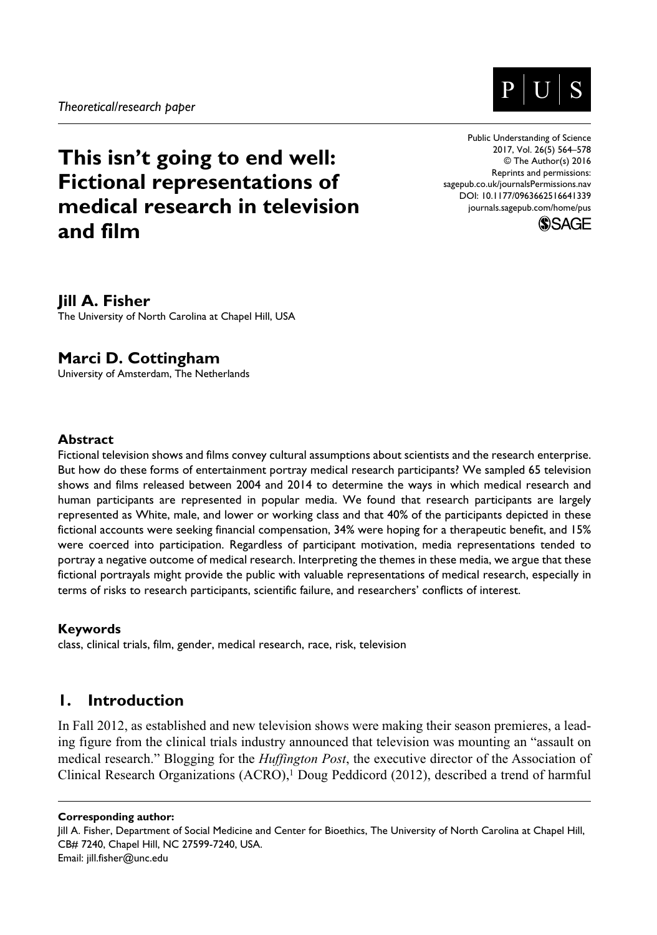

# **This isn't going to end well: Fictional representations of medical research in television and film**

DOI: 10.1177/0963662516641339 Public Understanding of Science 2017, Vol. 26(5) 564–578 © The Author(s) 2016 Reprints and permissions: sagepub.co.uk/journalsPermissions.nav journals.sagepub.com/home/pus



### **Jill A. Fisher** The University of North Carolina at Chapel Hill, USA

# **Marci D. Cottingham**

University of Amsterdam, The Netherlands

### **Abstract**

Fictional television shows and films convey cultural assumptions about scientists and the research enterprise. But how do these forms of entertainment portray medical research participants? We sampled 65 television shows and films released between 2004 and 2014 to determine the ways in which medical research and human participants are represented in popular media. We found that research participants are largely represented as White, male, and lower or working class and that 40% of the participants depicted in these fictional accounts were seeking financial compensation, 34% were hoping for a therapeutic benefit, and 15% were coerced into participation. Regardless of participant motivation, media representations tended to portray a negative outcome of medical research. Interpreting the themes in these media, we argue that these fictional portrayals might provide the public with valuable representations of medical research, especially in terms of risks to research participants, scientific failure, and researchers' conflicts of interest.

### **Keywords**

class, clinical trials, film, gender, medical research, race, risk, television

### **1. Introduction**

In Fall 2012, as established and new television shows were making their season premieres, a leading figure from the clinical trials industry announced that television was mounting an "assault on medical research." Blogging for the *Huffington Post*, the executive director of the Association of Clinical Research Organizations  $(ACRO)$ ,<sup>1</sup> Doug Peddicord (2012), described a trend of harmful

**Corresponding author:**

Jill A. Fisher, Department of Social Medicine and Center for Bioethics, The University of North Carolina at Chapel Hill, CB# 7240, Chapel Hill, NC 27599-7240, USA. Email: [jill.fisher@unc.edu](mailto:jill.fisher@unc.edu)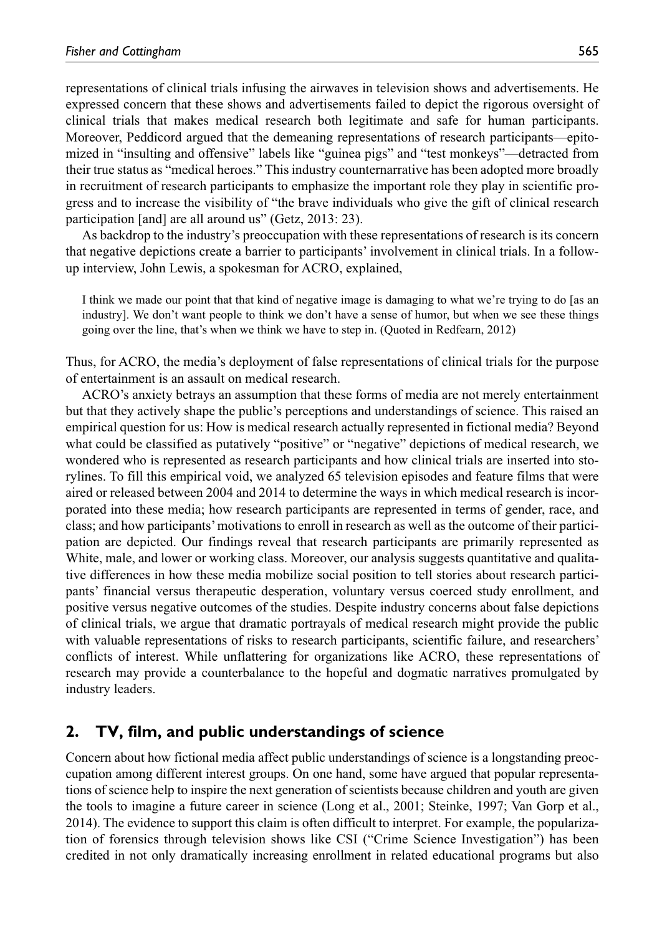representations of clinical trials infusing the airwaves in television shows and advertisements. He expressed concern that these shows and advertisements failed to depict the rigorous oversight of clinical trials that makes medical research both legitimate and safe for human participants. Moreover, Peddicord argued that the demeaning representations of research participants—epitomized in "insulting and offensive" labels like "guinea pigs" and "test monkeys"—detracted from their true status as "medical heroes." This industry counternarrative has been adopted more broadly in recruitment of research participants to emphasize the important role they play in scientific progress and to increase the visibility of "the brave individuals who give the gift of clinical research participation [and] are all around us" (Getz, 2013: 23).

As backdrop to the industry's preoccupation with these representations of research is its concern that negative depictions create a barrier to participants' involvement in clinical trials. In a followup interview, John Lewis, a spokesman for ACRO, explained,

I think we made our point that that kind of negative image is damaging to what we're trying to do [as an industry]. We don't want people to think we don't have a sense of humor, but when we see these things going over the line, that's when we think we have to step in. (Quoted in Redfearn, 2012)

Thus, for ACRO, the media's deployment of false representations of clinical trials for the purpose of entertainment is an assault on medical research.

ACRO's anxiety betrays an assumption that these forms of media are not merely entertainment but that they actively shape the public's perceptions and understandings of science. This raised an empirical question for us: How is medical research actually represented in fictional media? Beyond what could be classified as putatively "positive" or "negative" depictions of medical research, we wondered who is represented as research participants and how clinical trials are inserted into storylines. To fill this empirical void, we analyzed 65 television episodes and feature films that were aired or released between 2004 and 2014 to determine the ways in which medical research is incorporated into these media; how research participants are represented in terms of gender, race, and class; and how participants' motivations to enroll in research as well as the outcome of their participation are depicted. Our findings reveal that research participants are primarily represented as White, male, and lower or working class. Moreover, our analysis suggests quantitative and qualitative differences in how these media mobilize social position to tell stories about research participants' financial versus therapeutic desperation, voluntary versus coerced study enrollment, and positive versus negative outcomes of the studies. Despite industry concerns about false depictions of clinical trials, we argue that dramatic portrayals of medical research might provide the public with valuable representations of risks to research participants, scientific failure, and researchers' conflicts of interest. While unflattering for organizations like ACRO, these representations of research may provide a counterbalance to the hopeful and dogmatic narratives promulgated by industry leaders.

### **2. TV, film, and public understandings of science**

Concern about how fictional media affect public understandings of science is a longstanding preoccupation among different interest groups. On one hand, some have argued that popular representations of science help to inspire the next generation of scientists because children and youth are given the tools to imagine a future career in science (Long et al., 2001; Steinke, 1997; Van Gorp et al., 2014). The evidence to support this claim is often difficult to interpret. For example, the popularization of forensics through television shows like CSI ("Crime Science Investigation") has been credited in not only dramatically increasing enrollment in related educational programs but also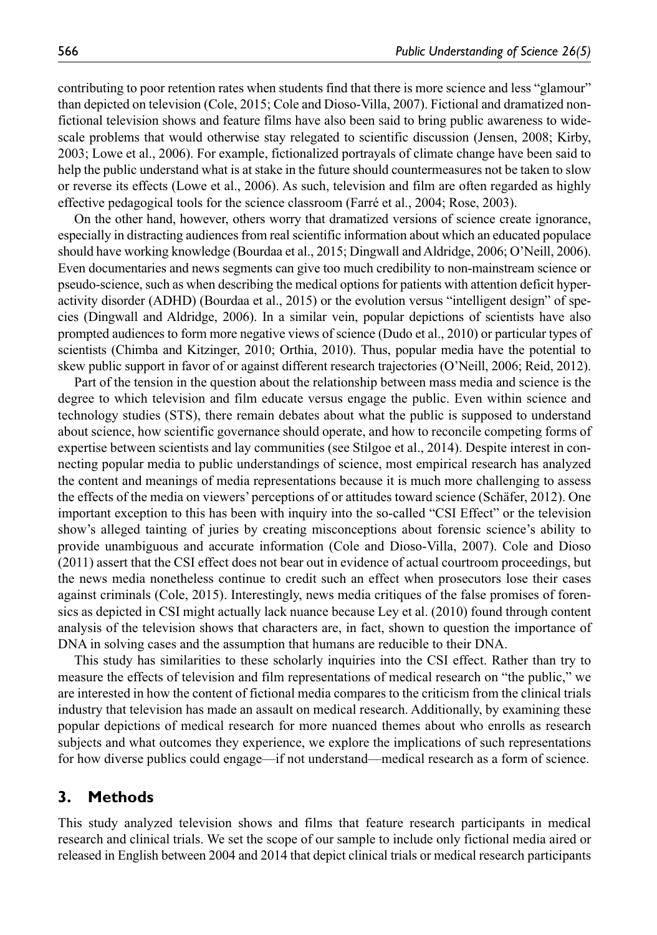contributing to poor retention rates when students find that there is more science and less "glamour" than depicted on television (Cole, 2015; Cole and Dioso-Villa, 2007). Fictional and dramatized nonfictional television shows and feature films have also been said to bring public awareness to widescale problems that would otherwise stay relegated to scientific discussion (Jensen, 2008; Kirby, 2003; Lowe et al., 2006). For example, fictionalized portrayals of climate change have been said to help the public understand what is at stake in the future should countermeasures not be taken to slow or reverse its effects (Lowe et al., 2006). As such, television and film are often regarded as highly effective pedagogical tools for the science classroom (Farré et al., 2004; Rose, 2003).

On the other hand, however, others worry that dramatized versions of science create ignorance, especially in distracting audiences from real scientific information about which an educated populace should have working knowledge (Bourdaa et al., 2015; Dingwall and Aldridge, 2006; O'Neill, 2006). Even documentaries and news segments can give too much credibility to non-mainstream science or pseudo-science, such as when describing the medical options for patients with attention deficit hyperactivity disorder (ADHD) (Bourdaa et al., 2015) or the evolution versus "intelligent design" of species (Dingwall and Aldridge, 2006). In a similar vein, popular depictions of scientists have also prompted audiences to form more negative views of science (Dudo et al., 2010) or particular types of scientists (Chimba and Kitzinger, 2010; Orthia, 2010). Thus, popular media have the potential to skew public support in favor of or against different research trajectories (O'Neill, 2006; Reid, 2012).

Part of the tension in the question about the relationship between mass media and science is the degree to which television and film educate versus engage the public. Even within science and technology studies (STS), there remain debates about what the public is supposed to understand about science, how scientific governance should operate, and how to reconcile competing forms of expertise between scientists and lay communities (see Stilgoe et al., 2014). Despite interest in connecting popular media to public understandings of science, most empirical research has analyzed the content and meanings of media representations because it is much more challenging to assess the effects of the media on viewers' perceptions of or attitudes toward science (Schäfer, 2012). One important exception to this has been with inquiry into the so-called "CSI Effect" or the television show's alleged tainting of juries by creating misconceptions about forensic science's ability to provide unambiguous and accurate information (Cole and Dioso-Villa, 2007). Cole and Dioso (2011) assert that the CSI effect does not bear out in evidence of actual courtroom proceedings, but the news media nonetheless continue to credit such an effect when prosecutors lose their cases against criminals (Cole, 2015). Interestingly, news media critiques of the false promises of forensics as depicted in CSI might actually lack nuance because Ley et al. (2010) found through content analysis of the television shows that characters are, in fact, shown to question the importance of DNA in solving cases and the assumption that humans are reducible to their DNA.

This study has similarities to these scholarly inquiries into the CSI effect. Rather than try to measure the effects of television and film representations of medical research on "the public," we are interested in how the content of fictional media compares to the criticism from the clinical trials industry that television has made an assault on medical research. Additionally, by examining these popular depictions of medical research for more nuanced themes about who enrolls as research subjects and what outcomes they experience, we explore the implications of such representations for how diverse publics could engage—if not understand—medical research as a form of science.

### **3. Methods**

This study analyzed television shows and films that feature research participants in medical research and clinical trials. We set the scope of our sample to include only fictional media aired or released in English between 2004 and 2014 that depict clinical trials or medical research participants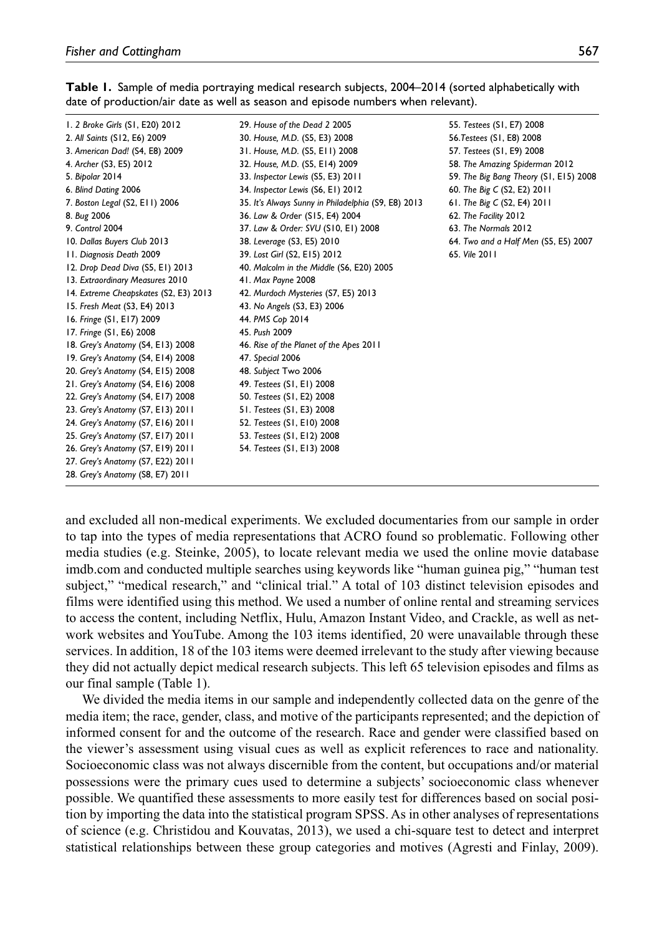| 1. 2 Broke Girls (S1, E20) 2012       | 29. House of the Dead 2 2005                               | 55. Testees (S1, E7) 2008              |  |  |  |
|---------------------------------------|------------------------------------------------------------|----------------------------------------|--|--|--|
| 2. All Saints (S12, E6) 2009          | 30. House, M.D. (S5, E3) 2008<br>56. Testees (S1, E8) 2008 |                                        |  |  |  |
| 3. American Dad! (S4, E8) 2009        | 31. House, M.D. (S5, E11) 2008                             | 57. Testees (S1, E9) 2008              |  |  |  |
| 4. Archer (S3, E5) 2012               | 32. House, M.D. (S5, E14) 2009                             | 58. The Amazing Spiderman 2012         |  |  |  |
| 5. Bipolar 2014                       | 33. Inspector Lewis (S5, E3) 2011                          | 59. The Big Bang Theory (S1, E15) 2008 |  |  |  |
| 6. Blind Dating 2006                  | 34. Inspector Lewis (S6, E1) 2012                          | 60. The Big C (S2, E2) 2011            |  |  |  |
| 7. Boston Legal (S2, E11) 2006        | 35. It's Always Sunny in Philadelphia (S9, E8) 2013        | 61. The Big C (S2, E4) 2011            |  |  |  |
| 8. Bug 2006                           | 36. Law & Order (S15, E4) 2004                             | 62. The Facility 2012                  |  |  |  |
| 9. Control 2004                       | 37. Law & Order: SVU (S10, E1) 2008                        | 63. The Normals 2012                   |  |  |  |
| 10. Dallas Buyers Club 2013           | 38. Leverage (S3, E5) 2010                                 | 64. Two and a Half Men (S5, E5) 2007   |  |  |  |
| 11. Diagnosis Death 2009              | 39. Lost Girl (S2, E15) 2012                               | 65. Vile 2011                          |  |  |  |
| 12. Drop Dead Diva (S5, E1) 2013      | 40. Malcolm in the Middle (S6, E20) 2005                   |                                        |  |  |  |
| 13. Extraordinary Measures 2010       | 41. Max Payne 2008                                         |                                        |  |  |  |
| 14. Extreme Cheapskates (S2, E3) 2013 | 42. Murdoch Mysteries (S7, E5) 2013                        |                                        |  |  |  |
| 15. Fresh Meat (S3, E4) 2013          | 43. No Angels (S3, E3) 2006                                |                                        |  |  |  |
| 16. Fringe (S1, E17) 2009             | 44. PMS Cop 2014                                           |                                        |  |  |  |
| 17. Fringe (S1, E6) 2008              | 45. Push 2009                                              |                                        |  |  |  |
| 18. Grey's Anatomy (S4, E13) 2008     | 46. Rise of the Planet of the Apes 2011                    |                                        |  |  |  |
| 19. Grey's Anatomy (S4, E14) 2008     | 47. Special 2006                                           |                                        |  |  |  |
| 20. Grey's Anatomy (S4, E15) 2008     | 48. Subject Two 2006                                       |                                        |  |  |  |
| 21. Grey's Anatomy (S4, E16) 2008     | 49. Testees (S1, E1) 2008                                  |                                        |  |  |  |
| 22. Grey's Anatomy (S4, E17) 2008     | 50. Testees (S1, E2) 2008                                  |                                        |  |  |  |
| 23. Grey's Anatomy (S7, E13) 2011     | 51. Testees (S1, E3) 2008                                  |                                        |  |  |  |
| 24. Grey's Anatomy (S7, E16) 2011     | 52. Testees (S1, E10) 2008                                 |                                        |  |  |  |
| 25. Grey's Anatomy (S7, E17) 2011     | 53. Testees (S1, E12) 2008                                 |                                        |  |  |  |
| 26. Grey's Anatomy (S7, E19) 2011     | 54. Testees (S1, E13) 2008                                 |                                        |  |  |  |
| 27. Grey's Anatomy (S7, E22) 2011     |                                                            |                                        |  |  |  |
| 28. Grey's Anatomy (S8, E7) 2011      |                                                            |                                        |  |  |  |
|                                       |                                                            |                                        |  |  |  |

**Table 1.** Sample of media portraying medical research subjects, 2004–2014 (sorted alphabetically with date of production/air date as well as season and episode numbers when relevant).

and excluded all non-medical experiments. We excluded documentaries from our sample in order to tap into the types of media representations that ACRO found so problematic. Following other media studies (e.g. Steinke, 2005), to locate relevant media we used the online movie database imdb.com and conducted multiple searches using keywords like "human guinea pig," "human test subject," "medical research," and "clinical trial." A total of 103 distinct television episodes and films were identified using this method. We used a number of online rental and streaming services to access the content, including Netflix, Hulu, Amazon Instant Video, and Crackle, as well as network websites and YouTube. Among the 103 items identified, 20 were unavailable through these services. In addition, 18 of the 103 items were deemed irrelevant to the study after viewing because they did not actually depict medical research subjects. This left 65 television episodes and films as our final sample (Table 1).

We divided the media items in our sample and independently collected data on the genre of the media item; the race, gender, class, and motive of the participants represented; and the depiction of informed consent for and the outcome of the research. Race and gender were classified based on the viewer's assessment using visual cues as well as explicit references to race and nationality. Socioeconomic class was not always discernible from the content, but occupations and/or material possessions were the primary cues used to determine a subjects' socioeconomic class whenever possible. We quantified these assessments to more easily test for differences based on social position by importing the data into the statistical program SPSS. As in other analyses of representations of science (e.g. Christidou and Kouvatas, 2013), we used a chi-square test to detect and interpret statistical relationships between these group categories and motives (Agresti and Finlay, 2009).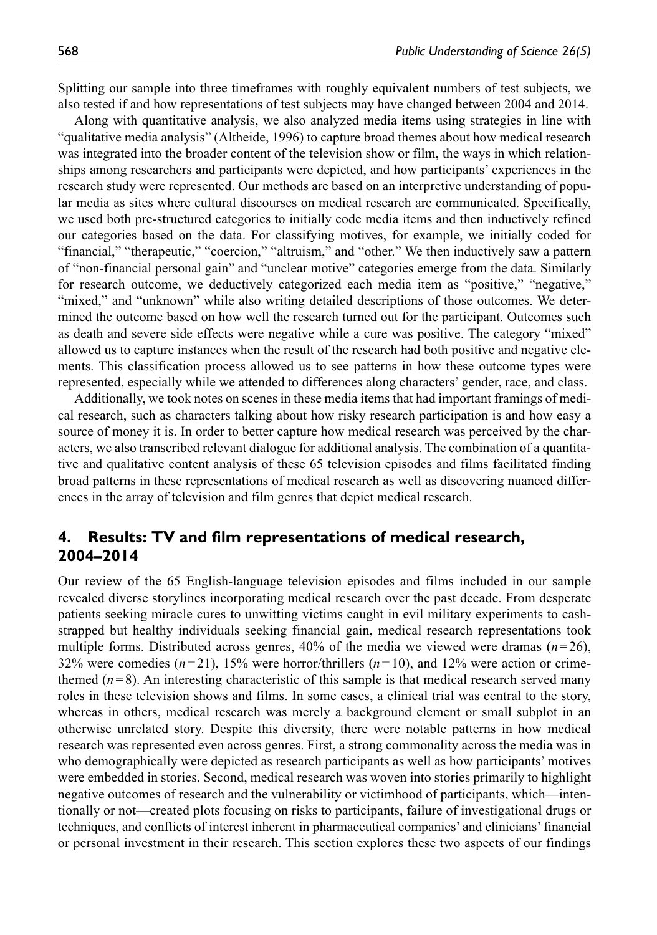Splitting our sample into three timeframes with roughly equivalent numbers of test subjects, we also tested if and how representations of test subjects may have changed between 2004 and 2014.

Along with quantitative analysis, we also analyzed media items using strategies in line with "qualitative media analysis" (Altheide, 1996) to capture broad themes about how medical research was integrated into the broader content of the television show or film, the ways in which relationships among researchers and participants were depicted, and how participants' experiences in the research study were represented. Our methods are based on an interpretive understanding of popular media as sites where cultural discourses on medical research are communicated. Specifically, we used both pre-structured categories to initially code media items and then inductively refined our categories based on the data. For classifying motives, for example, we initially coded for "financial," "therapeutic," "coercion," "altruism," and "other." We then inductively saw a pattern of "non-financial personal gain" and "unclear motive" categories emerge from the data. Similarly for research outcome, we deductively categorized each media item as "positive," "negative," "mixed," and "unknown" while also writing detailed descriptions of those outcomes. We determined the outcome based on how well the research turned out for the participant. Outcomes such as death and severe side effects were negative while a cure was positive. The category "mixed" allowed us to capture instances when the result of the research had both positive and negative elements. This classification process allowed us to see patterns in how these outcome types were represented, especially while we attended to differences along characters' gender, race, and class.

Additionally, we took notes on scenes in these media items that had important framings of medical research, such as characters talking about how risky research participation is and how easy a source of money it is. In order to better capture how medical research was perceived by the characters, we also transcribed relevant dialogue for additional analysis. The combination of a quantitative and qualitative content analysis of these 65 television episodes and films facilitated finding broad patterns in these representations of medical research as well as discovering nuanced differences in the array of television and film genres that depict medical research.

# **4. Results: TV and film representations of medical research, 2004–2014**

Our review of the 65 English-language television episodes and films included in our sample revealed diverse storylines incorporating medical research over the past decade. From desperate patients seeking miracle cures to unwitting victims caught in evil military experiments to cashstrapped but healthy individuals seeking financial gain, medical research representations took multiple forms. Distributed across genres,  $40\%$  of the media we viewed were dramas ( $n=26$ ), 32% were comedies (*n*=21), 15% were horror/thrillers (*n*=10), and 12% were action or crimethemed  $(n=8)$ . An interesting characteristic of this sample is that medical research served many roles in these television shows and films. In some cases, a clinical trial was central to the story, whereas in others, medical research was merely a background element or small subplot in an otherwise unrelated story. Despite this diversity, there were notable patterns in how medical research was represented even across genres. First, a strong commonality across the media was in who demographically were depicted as research participants as well as how participants' motives were embedded in stories. Second, medical research was woven into stories primarily to highlight negative outcomes of research and the vulnerability or victimhood of participants, which—intentionally or not—created plots focusing on risks to participants, failure of investigational drugs or techniques, and conflicts of interest inherent in pharmaceutical companies' and clinicians' financial or personal investment in their research. This section explores these two aspects of our findings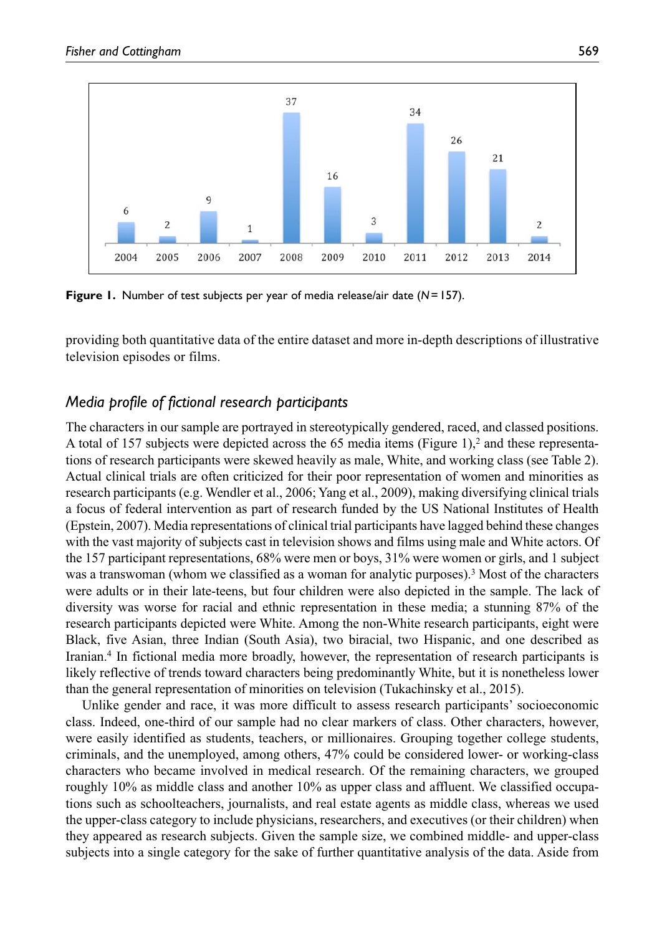

**Figure 1.** Number of test subjects per year of media release/air date (*N*=157).

providing both quantitative data of the entire dataset and more in-depth descriptions of illustrative television episodes or films.

### *Media profile of fictional research participants*

The characters in our sample are portrayed in stereotypically gendered, raced, and classed positions. A total of 157 subjects were depicted across the 65 media items (Figure 1),<sup>2</sup> and these representations of research participants were skewed heavily as male, White, and working class (see Table 2). Actual clinical trials are often criticized for their poor representation of women and minorities as research participants (e.g. Wendler et al., 2006; Yang et al., 2009), making diversifying clinical trials a focus of federal intervention as part of research funded by the US National Institutes of Health (Epstein, 2007). Media representations of clinical trial participants have lagged behind these changes with the vast majority of subjects cast in television shows and films using male and White actors. Of the 157 participant representations, 68% were men or boys, 31% were women or girls, and 1 subject was a transwoman (whom we classified as a woman for analytic purposes).<sup>3</sup> Most of the characters were adults or in their late-teens, but four children were also depicted in the sample. The lack of diversity was worse for racial and ethnic representation in these media; a stunning 87% of the research participants depicted were White. Among the non-White research participants, eight were Black, five Asian, three Indian (South Asia), two biracial, two Hispanic, and one described as Iranian.<sup>4</sup> In fictional media more broadly, however, the representation of research participants is likely reflective of trends toward characters being predominantly White, but it is nonetheless lower than the general representation of minorities on television (Tukachinsky et al., 2015).

Unlike gender and race, it was more difficult to assess research participants' socioeconomic class. Indeed, one-third of our sample had no clear markers of class. Other characters, however, were easily identified as students, teachers, or millionaires. Grouping together college students, criminals, and the unemployed, among others, 47% could be considered lower- or working-class characters who became involved in medical research. Of the remaining characters, we grouped roughly 10% as middle class and another 10% as upper class and affluent. We classified occupations such as schoolteachers, journalists, and real estate agents as middle class, whereas we used the upper-class category to include physicians, researchers, and executives (or their children) when they appeared as research subjects. Given the sample size, we combined middle- and upper-class subjects into a single category for the sake of further quantitative analysis of the data. Aside from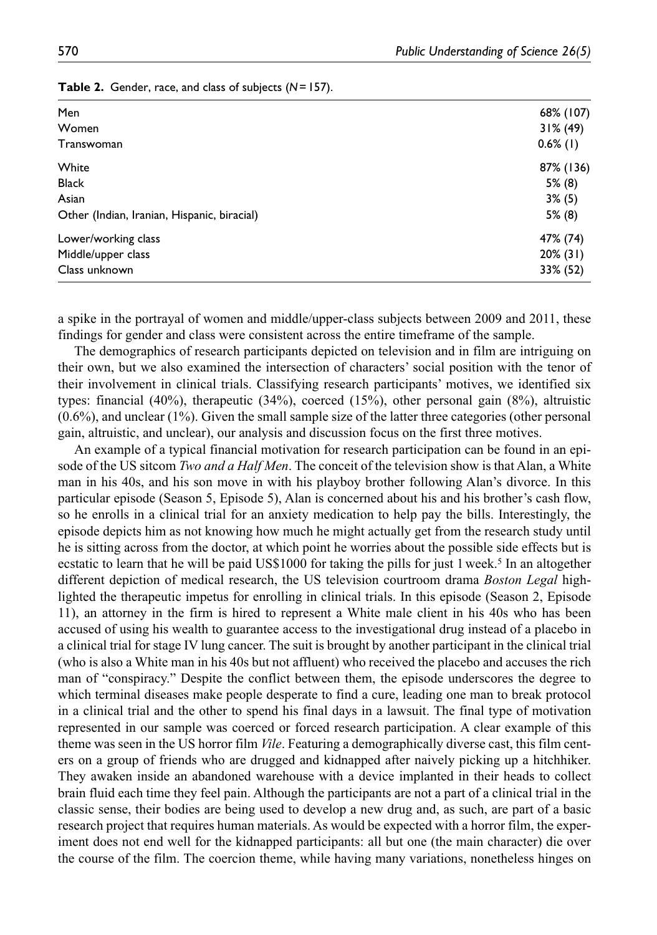| Men                                         | 68% (107)   |
|---------------------------------------------|-------------|
| Women                                       | $31\% (49)$ |
| Transwoman                                  | $0.6\%$ (1) |
| White                                       | 87% (136)   |
| Black                                       | $5\%$ (8)   |
| Asian                                       | $3\%$ (5)   |
| Other (Indian, Iranian, Hispanic, biracial) | 5% (8)      |
| Lower/working class                         | 47% (74)    |
| Middle/upper class                          | $20\%$ (31) |
| Class unknown                               | 33% (52)    |
|                                             |             |

**Table 2.** Gender, race, and class of subjects (*N*=157).

a spike in the portrayal of women and middle/upper-class subjects between 2009 and 2011, these findings for gender and class were consistent across the entire timeframe of the sample.

The demographics of research participants depicted on television and in film are intriguing on their own, but we also examined the intersection of characters' social position with the tenor of their involvement in clinical trials. Classifying research participants' motives, we identified six types: financial (40%), therapeutic (34%), coerced (15%), other personal gain (8%), altruistic (0.6%), and unclear (1%). Given the small sample size of the latter three categories (other personal gain, altruistic, and unclear), our analysis and discussion focus on the first three motives.

An example of a typical financial motivation for research participation can be found in an episode of the US sitcom *Two and a Half Men*. The conceit of the television show is that Alan, a White man in his 40s, and his son move in with his playboy brother following Alan's divorce. In this particular episode (Season 5, Episode 5), Alan is concerned about his and his brother's cash flow, so he enrolls in a clinical trial for an anxiety medication to help pay the bills. Interestingly, the episode depicts him as not knowing how much he might actually get from the research study until he is sitting across from the doctor, at which point he worries about the possible side effects but is ecstatic to learn that he will be paid US\$1000 for taking the pills for just 1 week.<sup>5</sup> In an altogether different depiction of medical research, the US television courtroom drama *Boston Legal* highlighted the therapeutic impetus for enrolling in clinical trials. In this episode (Season 2, Episode 11), an attorney in the firm is hired to represent a White male client in his 40s who has been accused of using his wealth to guarantee access to the investigational drug instead of a placebo in a clinical trial for stage IV lung cancer. The suit is brought by another participant in the clinical trial (who is also a White man in his 40s but not affluent) who received the placebo and accuses the rich man of "conspiracy." Despite the conflict between them, the episode underscores the degree to which terminal diseases make people desperate to find a cure, leading one man to break protocol in a clinical trial and the other to spend his final days in a lawsuit. The final type of motivation represented in our sample was coerced or forced research participation. A clear example of this theme was seen in the US horror film *Vile*. Featuring a demographically diverse cast, this film centers on a group of friends who are drugged and kidnapped after naively picking up a hitchhiker. They awaken inside an abandoned warehouse with a device implanted in their heads to collect brain fluid each time they feel pain. Although the participants are not a part of a clinical trial in the classic sense, their bodies are being used to develop a new drug and, as such, are part of a basic research project that requires human materials. As would be expected with a horror film, the experiment does not end well for the kidnapped participants: all but one (the main character) die over the course of the film. The coercion theme, while having many variations, nonetheless hinges on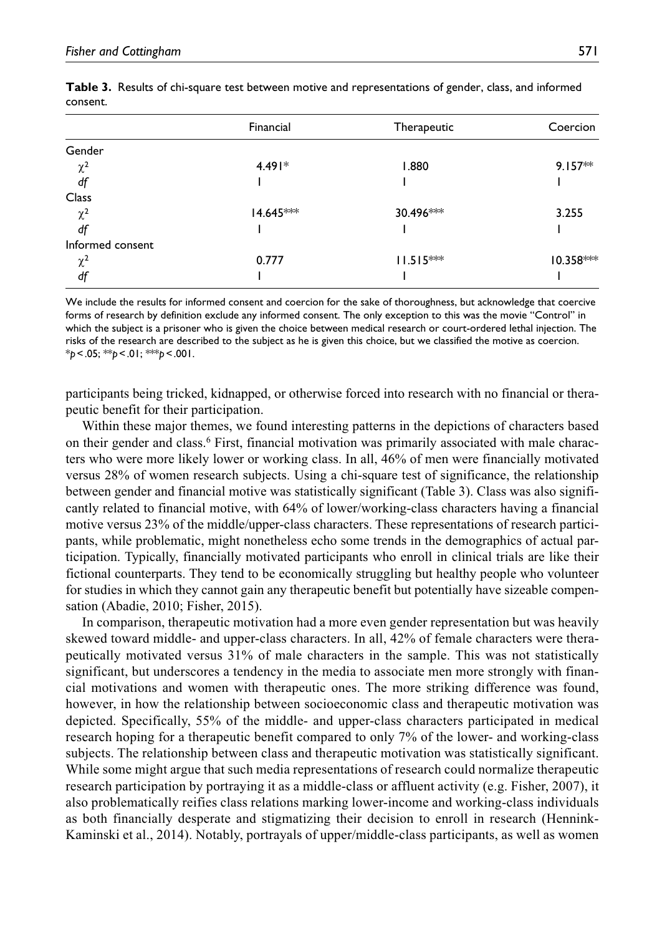|                  | Financial   | Therapeutic | Coercion    |
|------------------|-------------|-------------|-------------|
| Gender           |             |             |             |
| $\chi^2$         | $4.491*$    | 1.880       | $9.157**$   |
| df               |             |             |             |
| Class            |             |             |             |
| $\chi^2$         | $14.645***$ | 30.496***   | 3.255       |
| df               |             |             |             |
| Informed consent |             |             |             |
| $\chi^2$         | 0.777       | $11.515***$ | $10.358***$ |
| df               |             |             |             |

**Table 3.** Results of chi-square test between motive and representations of gender, class, and informed consent.

We include the results for informed consent and coercion for the sake of thoroughness, but acknowledge that coercive forms of research by definition exclude any informed consent. The only exception to this was the movie "Control" in which the subject is a prisoner who is given the choice between medical research or court-ordered lethal injection. The risks of the research are described to the subject as he is given this choice, but we classified the motive as coercion. \**p*<.05; \*\**p*<.01; \*\*\**p*<.001.

participants being tricked, kidnapped, or otherwise forced into research with no financial or therapeutic benefit for their participation.

Within these major themes, we found interesting patterns in the depictions of characters based on their gender and class.6 First, financial motivation was primarily associated with male characters who were more likely lower or working class. In all, 46% of men were financially motivated versus 28% of women research subjects. Using a chi-square test of significance, the relationship between gender and financial motive was statistically significant (Table 3). Class was also significantly related to financial motive, with 64% of lower/working-class characters having a financial motive versus 23% of the middle/upper-class characters. These representations of research participants, while problematic, might nonetheless echo some trends in the demographics of actual participation. Typically, financially motivated participants who enroll in clinical trials are like their fictional counterparts. They tend to be economically struggling but healthy people who volunteer for studies in which they cannot gain any therapeutic benefit but potentially have sizeable compensation (Abadie, 2010; Fisher, 2015).

In comparison, therapeutic motivation had a more even gender representation but was heavily skewed toward middle- and upper-class characters. In all, 42% of female characters were therapeutically motivated versus 31% of male characters in the sample. This was not statistically significant, but underscores a tendency in the media to associate men more strongly with financial motivations and women with therapeutic ones. The more striking difference was found, however, in how the relationship between socioeconomic class and therapeutic motivation was depicted. Specifically, 55% of the middle- and upper-class characters participated in medical research hoping for a therapeutic benefit compared to only 7% of the lower- and working-class subjects. The relationship between class and therapeutic motivation was statistically significant. While some might argue that such media representations of research could normalize therapeutic research participation by portraying it as a middle-class or affluent activity (e.g. Fisher, 2007), it also problematically reifies class relations marking lower-income and working-class individuals as both financially desperate and stigmatizing their decision to enroll in research (Hennink-Kaminski et al., 2014). Notably, portrayals of upper/middle-class participants, as well as women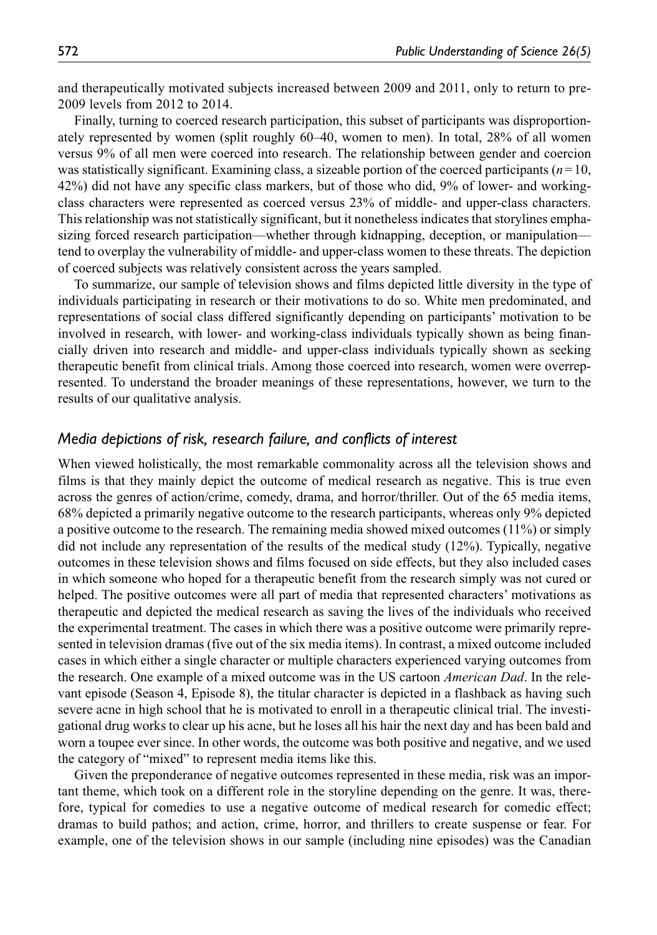and therapeutically motivated subjects increased between 2009 and 2011, only to return to pre-2009 levels from 2012 to 2014.

Finally, turning to coerced research participation, this subset of participants was disproportionately represented by women (split roughly 60–40, women to men). In total, 28% of all women versus 9% of all men were coerced into research. The relationship between gender and coercion was statistically significant. Examining class, a sizeable portion of the coerced participants (*n*=10, 42%) did not have any specific class markers, but of those who did, 9% of lower- and workingclass characters were represented as coerced versus 23% of middle- and upper-class characters. This relationship was not statistically significant, but it nonetheless indicates that storylines emphasizing forced research participation—whether through kidnapping, deception, or manipulation tend to overplay the vulnerability of middle- and upper-class women to these threats. The depiction of coerced subjects was relatively consistent across the years sampled.

To summarize, our sample of television shows and films depicted little diversity in the type of individuals participating in research or their motivations to do so. White men predominated, and representations of social class differed significantly depending on participants' motivation to be involved in research, with lower- and working-class individuals typically shown as being financially driven into research and middle- and upper-class individuals typically shown as seeking therapeutic benefit from clinical trials. Among those coerced into research, women were overrepresented. To understand the broader meanings of these representations, however, we turn to the results of our qualitative analysis.

### *Media depictions of risk, research failure, and conflicts of interest*

When viewed holistically, the most remarkable commonality across all the television shows and films is that they mainly depict the outcome of medical research as negative. This is true even across the genres of action/crime, comedy, drama, and horror/thriller. Out of the 65 media items, 68% depicted a primarily negative outcome to the research participants, whereas only 9% depicted a positive outcome to the research. The remaining media showed mixed outcomes (11%) or simply did not include any representation of the results of the medical study (12%). Typically, negative outcomes in these television shows and films focused on side effects, but they also included cases in which someone who hoped for a therapeutic benefit from the research simply was not cured or helped. The positive outcomes were all part of media that represented characters' motivations as therapeutic and depicted the medical research as saving the lives of the individuals who received the experimental treatment. The cases in which there was a positive outcome were primarily represented in television dramas (five out of the six media items). In contrast, a mixed outcome included cases in which either a single character or multiple characters experienced varying outcomes from the research. One example of a mixed outcome was in the US cartoon *American Dad*. In the relevant episode (Season 4, Episode 8), the titular character is depicted in a flashback as having such severe acne in high school that he is motivated to enroll in a therapeutic clinical trial. The investigational drug works to clear up his acne, but he loses all his hair the next day and has been bald and worn a toupee ever since. In other words, the outcome was both positive and negative, and we used the category of "mixed" to represent media items like this.

Given the preponderance of negative outcomes represented in these media, risk was an important theme, which took on a different role in the storyline depending on the genre. It was, therefore, typical for comedies to use a negative outcome of medical research for comedic effect; dramas to build pathos; and action, crime, horror, and thrillers to create suspense or fear. For example, one of the television shows in our sample (including nine episodes) was the Canadian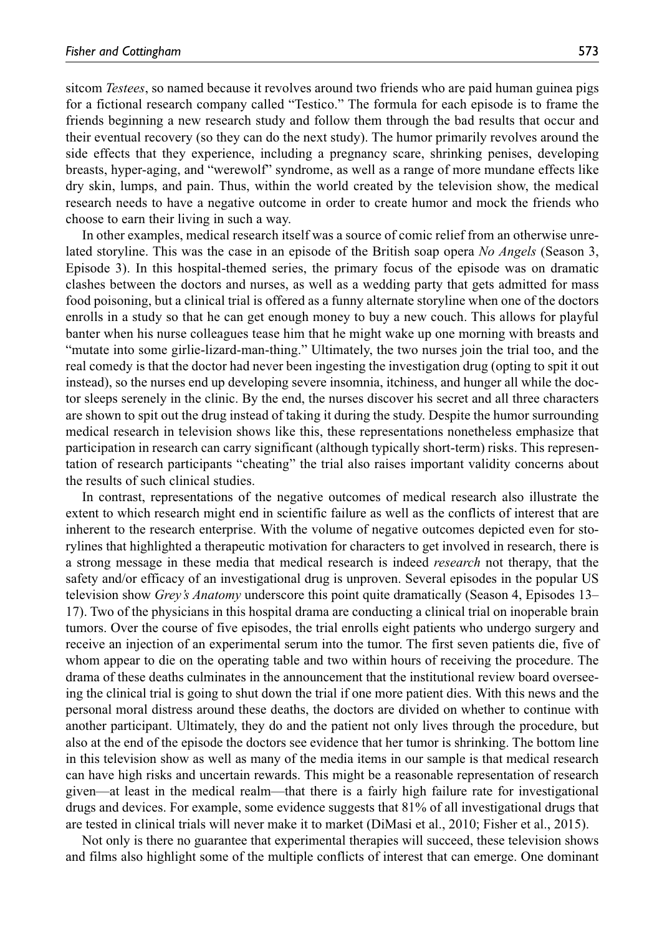sitcom *Testees*, so named because it revolves around two friends who are paid human guinea pigs for a fictional research company called "Testico." The formula for each episode is to frame the friends beginning a new research study and follow them through the bad results that occur and their eventual recovery (so they can do the next study). The humor primarily revolves around the side effects that they experience, including a pregnancy scare, shrinking penises, developing breasts, hyper-aging, and "werewolf" syndrome, as well as a range of more mundane effects like dry skin, lumps, and pain. Thus, within the world created by the television show, the medical research needs to have a negative outcome in order to create humor and mock the friends who choose to earn their living in such a way.

In other examples, medical research itself was a source of comic relief from an otherwise unrelated storyline. This was the case in an episode of the British soap opera *No Angels* (Season 3, Episode 3). In this hospital-themed series, the primary focus of the episode was on dramatic clashes between the doctors and nurses, as well as a wedding party that gets admitted for mass food poisoning, but a clinical trial is offered as a funny alternate storyline when one of the doctors enrolls in a study so that he can get enough money to buy a new couch. This allows for playful banter when his nurse colleagues tease him that he might wake up one morning with breasts and "mutate into some girlie-lizard-man-thing." Ultimately, the two nurses join the trial too, and the real comedy is that the doctor had never been ingesting the investigation drug (opting to spit it out instead), so the nurses end up developing severe insomnia, itchiness, and hunger all while the doctor sleeps serenely in the clinic. By the end, the nurses discover his secret and all three characters are shown to spit out the drug instead of taking it during the study. Despite the humor surrounding medical research in television shows like this, these representations nonetheless emphasize that participation in research can carry significant (although typically short-term) risks. This representation of research participants "cheating" the trial also raises important validity concerns about the results of such clinical studies.

In contrast, representations of the negative outcomes of medical research also illustrate the extent to which research might end in scientific failure as well as the conflicts of interest that are inherent to the research enterprise. With the volume of negative outcomes depicted even for storylines that highlighted a therapeutic motivation for characters to get involved in research, there is a strong message in these media that medical research is indeed *research* not therapy, that the safety and/or efficacy of an investigational drug is unproven. Several episodes in the popular US television show *Grey's Anatomy* underscore this point quite dramatically (Season 4, Episodes 13– 17). Two of the physicians in this hospital drama are conducting a clinical trial on inoperable brain tumors. Over the course of five episodes, the trial enrolls eight patients who undergo surgery and receive an injection of an experimental serum into the tumor. The first seven patients die, five of whom appear to die on the operating table and two within hours of receiving the procedure. The drama of these deaths culminates in the announcement that the institutional review board overseeing the clinical trial is going to shut down the trial if one more patient dies. With this news and the personal moral distress around these deaths, the doctors are divided on whether to continue with another participant. Ultimately, they do and the patient not only lives through the procedure, but also at the end of the episode the doctors see evidence that her tumor is shrinking. The bottom line in this television show as well as many of the media items in our sample is that medical research can have high risks and uncertain rewards. This might be a reasonable representation of research given—at least in the medical realm—that there is a fairly high failure rate for investigational drugs and devices. For example, some evidence suggests that 81% of all investigational drugs that are tested in clinical trials will never make it to market (DiMasi et al., 2010; Fisher et al., 2015).

Not only is there no guarantee that experimental therapies will succeed, these television shows and films also highlight some of the multiple conflicts of interest that can emerge. One dominant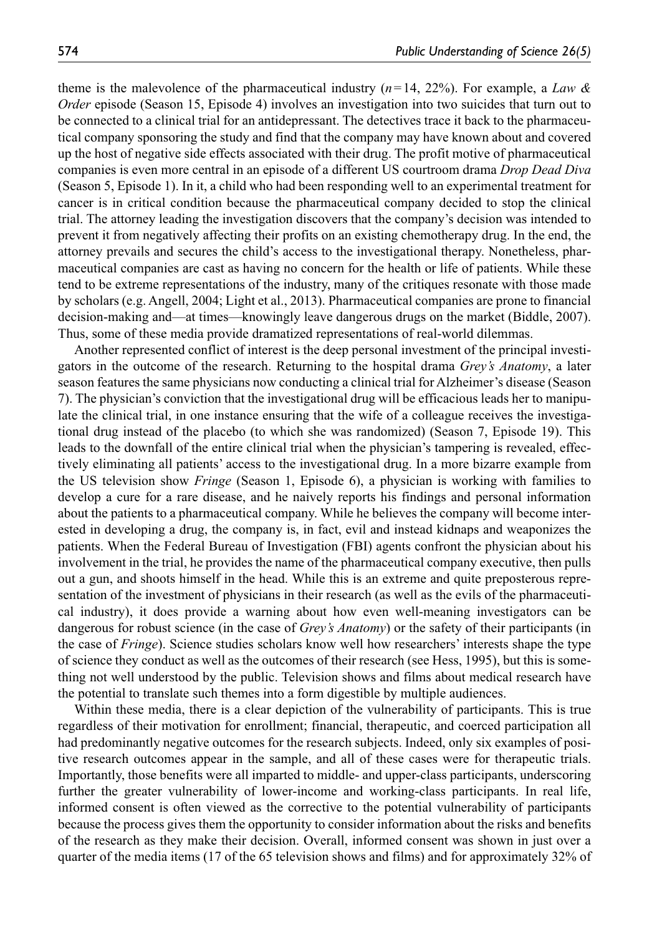theme is the malevolence of the pharmaceutical industry (*n*=14, 22%). For example, a *Law & Order* episode (Season 15, Episode 4) involves an investigation into two suicides that turn out to be connected to a clinical trial for an antidepressant. The detectives trace it back to the pharmaceutical company sponsoring the study and find that the company may have known about and covered up the host of negative side effects associated with their drug. The profit motive of pharmaceutical companies is even more central in an episode of a different US courtroom drama *Drop Dead Diva* (Season 5, Episode 1). In it, a child who had been responding well to an experimental treatment for cancer is in critical condition because the pharmaceutical company decided to stop the clinical trial. The attorney leading the investigation discovers that the company's decision was intended to prevent it from negatively affecting their profits on an existing chemotherapy drug. In the end, the attorney prevails and secures the child's access to the investigational therapy. Nonetheless, pharmaceutical companies are cast as having no concern for the health or life of patients. While these tend to be extreme representations of the industry, many of the critiques resonate with those made by scholars (e.g. Angell, 2004; Light et al., 2013). Pharmaceutical companies are prone to financial decision-making and—at times—knowingly leave dangerous drugs on the market (Biddle, 2007). Thus, some of these media provide dramatized representations of real-world dilemmas.

Another represented conflict of interest is the deep personal investment of the principal investigators in the outcome of the research. Returning to the hospital drama *Grey's Anatomy*, a later season features the same physicians now conducting a clinical trial for Alzheimer's disease (Season 7). The physician's conviction that the investigational drug will be efficacious leads her to manipulate the clinical trial, in one instance ensuring that the wife of a colleague receives the investigational drug instead of the placebo (to which she was randomized) (Season 7, Episode 19). This leads to the downfall of the entire clinical trial when the physician's tampering is revealed, effectively eliminating all patients' access to the investigational drug. In a more bizarre example from the US television show *Fringe* (Season 1, Episode 6), a physician is working with families to develop a cure for a rare disease, and he naively reports his findings and personal information about the patients to a pharmaceutical company. While he believes the company will become interested in developing a drug, the company is, in fact, evil and instead kidnaps and weaponizes the patients. When the Federal Bureau of Investigation (FBI) agents confront the physician about his involvement in the trial, he provides the name of the pharmaceutical company executive, then pulls out a gun, and shoots himself in the head. While this is an extreme and quite preposterous representation of the investment of physicians in their research (as well as the evils of the pharmaceutical industry), it does provide a warning about how even well-meaning investigators can be dangerous for robust science (in the case of *Grey's Anatomy*) or the safety of their participants (in the case of *Fringe*). Science studies scholars know well how researchers' interests shape the type of science they conduct as well as the outcomes of their research (see Hess, 1995), but this is something not well understood by the public. Television shows and films about medical research have the potential to translate such themes into a form digestible by multiple audiences.

Within these media, there is a clear depiction of the vulnerability of participants. This is true regardless of their motivation for enrollment; financial, therapeutic, and coerced participation all had predominantly negative outcomes for the research subjects. Indeed, only six examples of positive research outcomes appear in the sample, and all of these cases were for therapeutic trials. Importantly, those benefits were all imparted to middle- and upper-class participants, underscoring further the greater vulnerability of lower-income and working-class participants. In real life, informed consent is often viewed as the corrective to the potential vulnerability of participants because the process gives them the opportunity to consider information about the risks and benefits of the research as they make their decision. Overall, informed consent was shown in just over a quarter of the media items (17 of the 65 television shows and films) and for approximately 32% of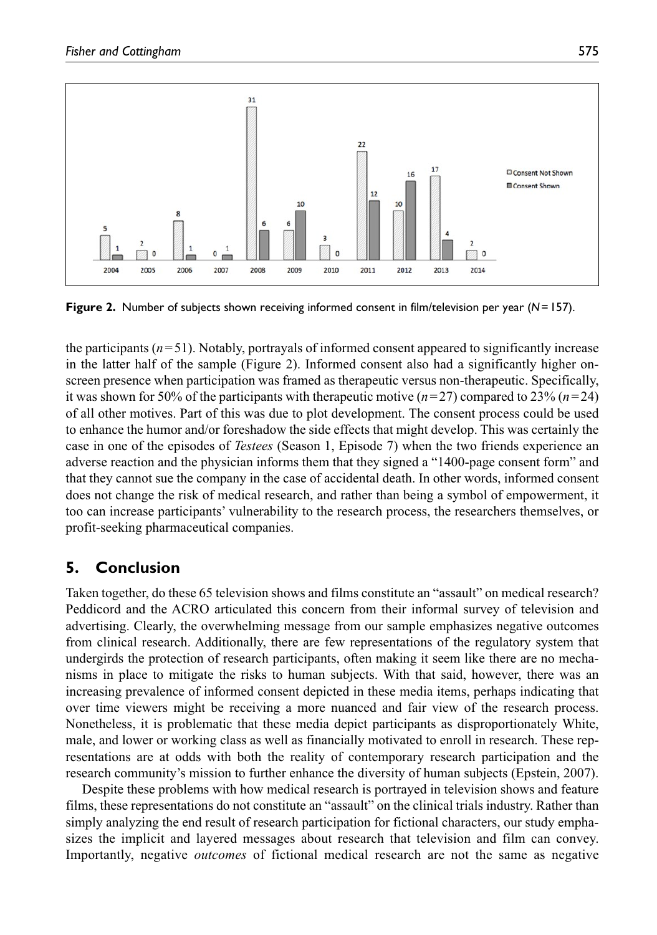

**Figure 2.** Number of subjects shown receiving informed consent in film/television per year (*N*=157).

the participants  $(n=51)$ . Notably, portrayals of informed consent appeared to significantly increase in the latter half of the sample (Figure 2). Informed consent also had a significantly higher onscreen presence when participation was framed as therapeutic versus non-therapeutic. Specifically, it was shown for 50% of the participants with therapeutic motive  $(n=27)$  compared to 23%  $(n=24)$ of all other motives. Part of this was due to plot development. The consent process could be used to enhance the humor and/or foreshadow the side effects that might develop. This was certainly the case in one of the episodes of *Testees* (Season 1, Episode 7) when the two friends experience an adverse reaction and the physician informs them that they signed a "1400-page consent form" and that they cannot sue the company in the case of accidental death. In other words, informed consent does not change the risk of medical research, and rather than being a symbol of empowerment, it too can increase participants' vulnerability to the research process, the researchers themselves, or profit-seeking pharmaceutical companies.

### **5. Conclusion**

Taken together, do these 65 television shows and films constitute an "assault" on medical research? Peddicord and the ACRO articulated this concern from their informal survey of television and advertising. Clearly, the overwhelming message from our sample emphasizes negative outcomes from clinical research. Additionally, there are few representations of the regulatory system that undergirds the protection of research participants, often making it seem like there are no mechanisms in place to mitigate the risks to human subjects. With that said, however, there was an increasing prevalence of informed consent depicted in these media items, perhaps indicating that over time viewers might be receiving a more nuanced and fair view of the research process. Nonetheless, it is problematic that these media depict participants as disproportionately White, male, and lower or working class as well as financially motivated to enroll in research. These representations are at odds with both the reality of contemporary research participation and the research community's mission to further enhance the diversity of human subjects (Epstein, 2007).

Despite these problems with how medical research is portrayed in television shows and feature films, these representations do not constitute an "assault" on the clinical trials industry. Rather than simply analyzing the end result of research participation for fictional characters, our study emphasizes the implicit and layered messages about research that television and film can convey. Importantly, negative *outcomes* of fictional medical research are not the same as negative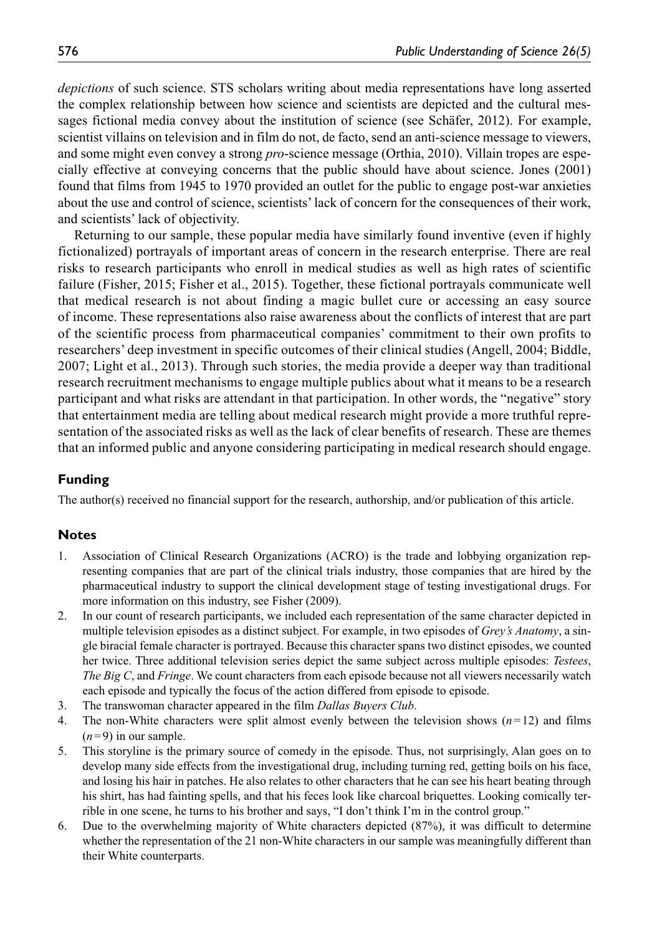*depictions* of such science. STS scholars writing about media representations have long asserted the complex relationship between how science and scientists are depicted and the cultural messages fictional media convey about the institution of science (see Schäfer, 2012). For example, scientist villains on television and in film do not, de facto, send an anti-science message to viewers, and some might even convey a strong *pro*-science message (Orthia, 2010). Villain tropes are especially effective at conveying concerns that the public should have about science. Jones (2001) found that films from 1945 to 1970 provided an outlet for the public to engage post-war anxieties about the use and control of science, scientists' lack of concern for the consequences of their work, and scientists' lack of objectivity.

Returning to our sample, these popular media have similarly found inventive (even if highly fictionalized) portrayals of important areas of concern in the research enterprise. There are real risks to research participants who enroll in medical studies as well as high rates of scientific failure (Fisher, 2015; Fisher et al., 2015). Together, these fictional portrayals communicate well that medical research is not about finding a magic bullet cure or accessing an easy source of income. These representations also raise awareness about the conflicts of interest that are part of the scientific process from pharmaceutical companies' commitment to their own profits to researchers' deep investment in specific outcomes of their clinical studies (Angell, 2004; Biddle, 2007; Light et al., 2013). Through such stories, the media provide a deeper way than traditional research recruitment mechanisms to engage multiple publics about what it means to be a research participant and what risks are attendant in that participation. In other words, the "negative" story that entertainment media are telling about medical research might provide a more truthful representation of the associated risks as well as the lack of clear benefits of research. These are themes that an informed public and anyone considering participating in medical research should engage.

### **Funding**

The author(s) received no financial support for the research, authorship, and/or publication of this article.

### **Notes**

- 1. Association of Clinical Research Organizations (ACRO) is the trade and lobbying organization representing companies that are part of the clinical trials industry, those companies that are hired by the pharmaceutical industry to support the clinical development stage of testing investigational drugs. For more information on this industry, see Fisher (2009).
- 2. In our count of research participants, we included each representation of the same character depicted in multiple television episodes as a distinct subject. For example, in two episodes of *Grey's Anatomy*, a single biracial female character is portrayed. Because this character spans two distinct episodes, we counted her twice. Three additional television series depict the same subject across multiple episodes: *Testees*, *The Big C*, and *Fringe*. We count characters from each episode because not all viewers necessarily watch each episode and typically the focus of the action differed from episode to episode.
- 3. The transwoman character appeared in the film *Dallas Buyers Club*.
- 4. The non-White characters were split almost evenly between the television shows (*n*=12) and films  $(n=9)$  in our sample.
- 5. This storyline is the primary source of comedy in the episode. Thus, not surprisingly, Alan goes on to develop many side effects from the investigational drug, including turning red, getting boils on his face, and losing his hair in patches. He also relates to other characters that he can see his heart beating through his shirt, has had fainting spells, and that his feces look like charcoal briquettes. Looking comically terrible in one scene, he turns to his brother and says, "I don't think I'm in the control group."
- 6. Due to the overwhelming majority of White characters depicted (87%), it was difficult to determine whether the representation of the 21 non-White characters in our sample was meaningfully different than their White counterparts.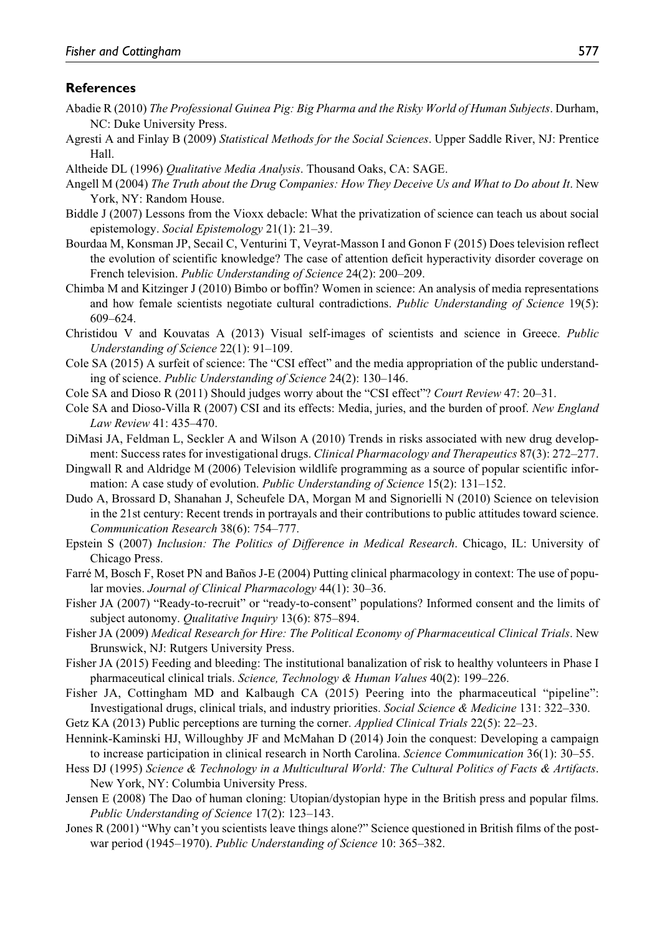### **References**

- Abadie R (2010) *The Professional Guinea Pig: Big Pharma and the Risky World of Human Subjects*. Durham, NC: Duke University Press.
- Agresti A and Finlay B (2009) *Statistical Methods for the Social Sciences*. Upper Saddle River, NJ: Prentice Hall.
- Altheide DL (1996) *Qualitative Media Analysis*. Thousand Oaks, CA: SAGE.
- Angell M (2004) *The Truth about the Drug Companies: How They Deceive Us and What to Do about It*. New York, NY: Random House.
- Biddle J (2007) Lessons from the Vioxx debacle: What the privatization of science can teach us about social epistemology. *Social Epistemology* 21(1): 21–39.
- Bourdaa M, Konsman JP, Secail C, Venturini T, Veyrat-Masson I and Gonon F (2015) Does television reflect the evolution of scientific knowledge? The case of attention deficit hyperactivity disorder coverage on French television. *Public Understanding of Science* 24(2): 200–209.
- Chimba M and Kitzinger J (2010) Bimbo or boffin? Women in science: An analysis of media representations and how female scientists negotiate cultural contradictions. *Public Understanding of Science* 19(5): 609–624.
- Christidou V and Kouvatas A (2013) Visual self-images of scientists and science in Greece. *Public Understanding of Science* 22(1): 91–109.
- Cole SA (2015) A surfeit of science: The "CSI effect" and the media appropriation of the public understanding of science. *Public Understanding of Science* 24(2): 130–146.
- Cole SA and Dioso R (2011) Should judges worry about the "CSI effect"? *Court Review* 47: 20–31.
- Cole SA and Dioso-Villa R (2007) CSI and its effects: Media, juries, and the burden of proof. *New England Law Review* 41: 435–470.
- DiMasi JA, Feldman L, Seckler A and Wilson A (2010) Trends in risks associated with new drug development: Success rates for investigational drugs. *Clinical Pharmacology and Therapeutics* 87(3): 272–277.
- Dingwall R and Aldridge M (2006) Television wildlife programming as a source of popular scientific information: A case study of evolution. *Public Understanding of Science* 15(2): 131–152.
- Dudo A, Brossard D, Shanahan J, Scheufele DA, Morgan M and Signorielli N (2010) Science on television in the 21st century: Recent trends in portrayals and their contributions to public attitudes toward science. *Communication Research* 38(6): 754–777.
- Epstein S (2007) *Inclusion: The Politics of Difference in Medical Research*. Chicago, IL: University of Chicago Press.
- Farré M, Bosch F, Roset PN and Baños J-E (2004) Putting clinical pharmacology in context: The use of popular movies. *Journal of Clinical Pharmacology* 44(1): 30–36.
- Fisher JA (2007) "Ready-to-recruit" or "ready-to-consent" populations? Informed consent and the limits of subject autonomy. *Qualitative Inquiry* 13(6): 875–894.
- Fisher JA (2009) *Medical Research for Hire: The Political Economy of Pharmaceutical Clinical Trials*. New Brunswick, NJ: Rutgers University Press.
- Fisher JA (2015) Feeding and bleeding: The institutional banalization of risk to healthy volunteers in Phase I pharmaceutical clinical trials. *Science, Technology & Human Values* 40(2): 199–226.
- Fisher JA, Cottingham MD and Kalbaugh CA (2015) Peering into the pharmaceutical "pipeline": Investigational drugs, clinical trials, and industry priorities. *Social Science & Medicine* 131: 322–330.
- Getz KA (2013) Public perceptions are turning the corner. *Applied Clinical Trials* 22(5): 22–23.
- Hennink-Kaminski HJ, Willoughby JF and McMahan D (2014) Join the conquest: Developing a campaign to increase participation in clinical research in North Carolina. *Science Communication* 36(1): 30–55.
- Hess DJ (1995) *Science & Technology in a Multicultural World: The Cultural Politics of Facts & Artifacts*. New York, NY: Columbia University Press.
- Jensen E (2008) The Dao of human cloning: Utopian/dystopian hype in the British press and popular films. *Public Understanding of Science* 17(2): 123–143.
- Jones R (2001) "Why can't you scientists leave things alone?" Science questioned in British films of the postwar period (1945–1970). *Public Understanding of Science* 10: 365–382.